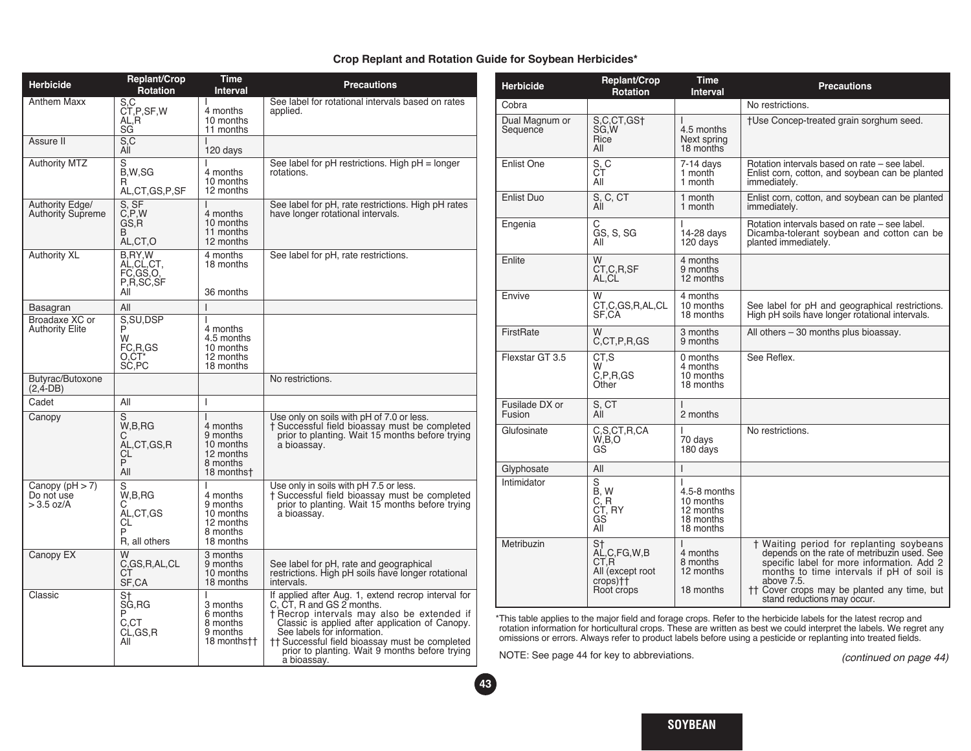## **Crop Replant and Rotation Guide for Soybean Herbicides\***

| <b>Herbicide</b>                                | Replant/Crop<br><b>Rotation</b>                            | Time<br><b>Interval</b>                                                         | <b>Precautions</b>                                                                                                                                                                                                                                                                                                                  |
|-------------------------------------------------|------------------------------------------------------------|---------------------------------------------------------------------------------|-------------------------------------------------------------------------------------------------------------------------------------------------------------------------------------------------------------------------------------------------------------------------------------------------------------------------------------|
| Anthem Maxx                                     | S, C<br>CT, P, SF, W<br>AL,R<br>SG                         | $\mathsf{I}$<br>4 months<br>10 months<br>11 months                              | See label for rotational intervals based on rates<br>applied.                                                                                                                                                                                                                                                                       |
| Assure II                                       | S, C<br>AÍI                                                | I<br>120 days                                                                   |                                                                                                                                                                                                                                                                                                                                     |
| <b>Authority MTZ</b>                            | S<br>B,W,SG<br>R<br>AL,CT,GS,P,SF                          | ı<br>4 months<br>10 months<br>12 months                                         | See label for pH restrictions. High pH = longer<br>rotations.                                                                                                                                                                                                                                                                       |
| Authority Edge/<br><b>Authority Supreme</b>     | S, SF<br>C, P, W<br>GS.R<br>В<br>AL,CT,O                   | ı<br>4 months<br>10 months<br>11 months<br>12 months                            | See label for pH, rate restrictions. High pH rates<br>have longer rotational intervals.                                                                                                                                                                                                                                             |
| <b>Authority XL</b>                             | <b>B.RY.W</b><br>AL,CL,CT,<br>FC.GS.O.<br>P,R,SC,SF<br>All | 4 months<br>18 months<br>36 months                                              | See label for pH, rate restrictions.                                                                                                                                                                                                                                                                                                |
| Basagran                                        | All                                                        | $\overline{\phantom{a}}$                                                        |                                                                                                                                                                                                                                                                                                                                     |
| Broadaxe XC or<br><b>Authority Elite</b>        | S, SU, DSP<br>P<br>W<br>FC,R,GS<br>O.CT*<br>SC,PC          | $\overline{1}$<br>4 months<br>4.5 months<br>10 months<br>12 months<br>18 months |                                                                                                                                                                                                                                                                                                                                     |
| Butyrac/Butoxone<br>$(2, 4-DB)$                 |                                                            |                                                                                 | No restrictions.                                                                                                                                                                                                                                                                                                                    |
| Cadet                                           | All                                                        | I                                                                               |                                                                                                                                                                                                                                                                                                                                     |
| Canopy                                          | W,B,RG<br>С<br>AL,CT,GS,R<br>СL<br>P<br>All                | I<br>4 months<br>9 months<br>10 months<br>12 months<br>8 months<br>18 monthst   | Use only on soils with pH of 7.0 or less.<br>† Successful field bioassay must be completed<br>prior to planting. Wait 15 months before trying<br>a bioassay.                                                                                                                                                                        |
| Canopy $(pH > 7)$<br>Do not use<br>$>$ 3.5 oz/A | S<br>W,B,RG<br>С<br>AL,CT,GS<br>CL<br>P<br>R, all others   | I<br>4 months<br>9 months<br>10 months<br>12 months<br>8 months<br>18 months    | Use only in soils with pH 7.5 or less.<br>† Successful field bioassay must be completed<br>prior to planting. Wait 15 months before trying<br>a bioassay.                                                                                                                                                                           |
| Canopy EX                                       | W<br>C,GS,R,AL,CL<br>СT<br>SF,CA                           | 3 months<br>9 months<br>10 months<br>18 months                                  | See label for pH, rate and geographical<br>restrictions. High pH soils have longer rotational<br>intervals.                                                                                                                                                                                                                         |
| Classic                                         | S†<br>SG, RG<br>P<br>C.CT<br>CL, GS, R<br>All              | 3 months<br>6 months<br>8 months<br>9 months<br>18 months††                     | If applied after Aug. 1, extend recrop interval for<br>C, CT, R and GS 2 months.<br>† Recrop intervals may also be extended if<br>Classic is applied after application of Canopy.<br>See labels for information.<br>†† Successful field bioassay must be completed<br>prior to planting. Wait 9 months before trying<br>a bioassay. |

| <b>Herbicide</b>           | Replant/Crop<br><b>Rotation</b>                                             | <b>Time</b><br><b>Interval</b>                                        | <b>Precautions</b>                                                                                                                                                                                                                                                             |
|----------------------------|-----------------------------------------------------------------------------|-----------------------------------------------------------------------|--------------------------------------------------------------------------------------------------------------------------------------------------------------------------------------------------------------------------------------------------------------------------------|
| Cobra                      |                                                                             |                                                                       | No restrictions.                                                                                                                                                                                                                                                               |
| Dual Magnum or<br>Sequence | S,C,CT,GS+<br>SG, W<br>Rice<br>All                                          | T<br>4.5 months<br>Next spring<br>18 months                           | +Use Concep-treated grain sorghum seed.                                                                                                                                                                                                                                        |
| <b>Enlist One</b>          | S, C<br>CT<br>All                                                           | $7-14$ days<br>1 month<br>1 month                                     | Rotation intervals based on rate – see label.<br>Enlist corn, cotton, and soybean can be planted<br>immediately.                                                                                                                                                               |
| Enlist Duo                 | S, C, CT<br>All                                                             | 1 month<br>1 month                                                    | Enlist corn, cotton, and soybean can be planted<br>immediately.                                                                                                                                                                                                                |
| Engenia                    | C<br>GS, S, SG<br>All                                                       | ı<br>14-28 days<br>120 days                                           | Rotation intervals based on rate – see label.<br>Dicamba-tolerant soybean and cotton can be<br>planted immediately.                                                                                                                                                            |
| Enlite                     | W<br>CT.C.R.SF<br>AL.CL                                                     | 4 months<br>9 months<br>12 months                                     |                                                                                                                                                                                                                                                                                |
| Envive                     | W<br>CT,C,GS,R,AL,CL<br>SF,CA                                               | 4 months<br>10 months<br>18 months                                    | See label for pH and geographical restrictions.<br>High pH soils have longer rotational intervals.                                                                                                                                                                             |
| FirstRate                  | W<br>C,CT,P,R,GS                                                            | 3 months<br>9 months                                                  | All others - 30 months plus bioassay.                                                                                                                                                                                                                                          |
| Flexstar GT 3.5            | CT.S<br>W<br>C, P, R, GS<br>Other                                           | 0 months<br>4 months<br>10 months<br>18 months                        | See Reflex.                                                                                                                                                                                                                                                                    |
| Fusilade DX or<br>Fusion   | S, CT<br>All                                                                | I<br>2 months                                                         |                                                                                                                                                                                                                                                                                |
| Glufosinate                | C,S,CT,R,CA<br>W,B,O<br>GŚ                                                  | ı<br>70 days<br>180 days                                              | No restrictions.                                                                                                                                                                                                                                                               |
| Glyphosate                 | All                                                                         | I                                                                     |                                                                                                                                                                                                                                                                                |
| Intimidator                | $\overline{s}$<br>B, W<br>C. R<br>CT, RY<br>GS<br>All                       | T<br>4.5-8 months<br>10 months<br>12 months<br>18 months<br>18 months |                                                                                                                                                                                                                                                                                |
| Metribuzin                 | St<br>AL, C, FG, W, B<br>CT,R<br>All (except root<br>crops)++<br>Root crops | $\overline{1}$<br>4 months<br>8 months<br>12 months<br>18 months      | † Waiting period for replanting soybeans<br>depends on the rate of metribuzin used. See<br>specific label for more information. Add 2<br>months to time intervals if pH of soil is<br>above 7.5.<br>†† Cover crops may be planted any time, but<br>stand reductions may occur. |

\*This table applies to the major field and forage crops. Refer to the herbicide labels for the latest recrop and rotation information for horticultural crops. These are written as best we could interpret the labels. We regret any omissions or errors. Always refer to product labels before using a pesticide or replanting into treated fields.

NOTE: See page 44 for key to abbreviations.

**43**